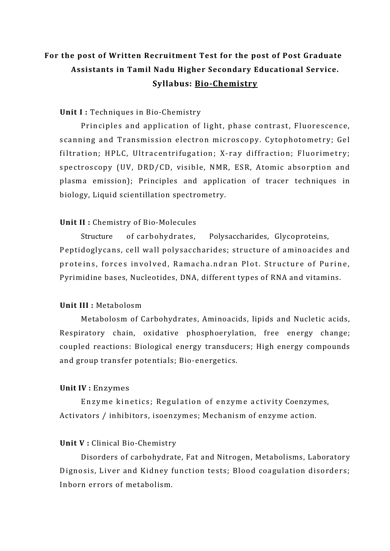# **For the post of Written Recruitment Test for the post of Post Graduate Assistants in Tamil Nadu Higher Secondary Educational Service. Syllabus: Bio-Chemistry**

## **Unit I :** Techniques in Bio-Chemistry

Principles and application of light, phase contrast, Fluorescence, scanning and Transmission electron microscopy. Cytophotometry; Gel filtration; HPLC, Ultracentrifugation; X-ray diffraction; Fluorimetry; spectroscopy (UV, DRD/CD, visible, NMR, ESR, Atomic absorption and plasma emission); Principles and application of tracer techniques in biology, Liquid scientillation spectrometry.

## **Unit II :** Chemistry of Bio-Molecules

Structure of carbohydrates, Polysaccharides, Glycoproteins, Peptidoglycans, cell wall polysaccharides; structure of aminoacides and proteins, forces involved, Ramacha.ndran Plot. Structure of Purine, Pyrimidine bases, Nucleotides, DNA, different types of RNA and vitamins.

### **Unit III :** Metabolosm

Metabolosm of Carbohydrates, Aminoacids, lipids and Nucletic acids, Respiratory chain, oxidative phosphoerylation, free energy change; coupled reactions: Biological energy transducers; High energy compounds and group transfer potentials; Bio-energetics.

## **Unit IV :** Enzymes

Enzyme kinetics; Regulation of enzyme activity Coenzymes, Activators / inhibitors, isoenzymes; Mechanism of enzyme action.

#### **Unit V :** Clinical Bio-Chemistry

Disorders of carbohydrate, Fat and Nitrogen, Metabolisms, Laboratory Dignosis, Liver and Kidney function tests; Blood coagulation disorders; Inborn errors of metabolism.